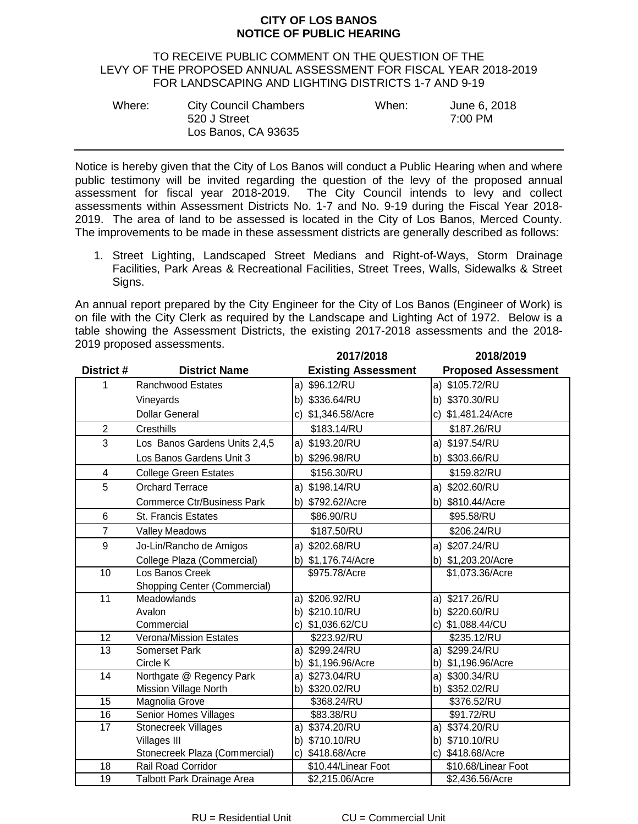## **CITY OF LOS BANOS NOTICE OF PUBLIC HEARING**

## TO RECEIVE PUBLIC COMMENT ON THE QUESTION OF THE LEVY OF THE PROPOSED ANNUAL ASSESSMENT FOR FISCAL YEAR 2018-2019 FOR LANDSCAPING AND LIGHTING DISTRICTS 1-7 AND 9-19

| Where: | <b>City Council Chambers</b> | When: | June 6, 2018 |
|--------|------------------------------|-------|--------------|
|        | 520 J Street                 |       | 7:00 PM      |
|        | Los Banos, CA 93635          |       |              |

Notice is hereby given that the City of Los Banos will conduct a Public Hearing when and where public testimony will be invited regarding the question of the levy of the proposed annual assessment for fiscal year 2018-2019. The City Council intends to levy and collect assessments within Assessment Districts No. 1-7 and No. 9-19 during the Fiscal Year 2018- 2019. The area of land to be assessed is located in the City of Los Banos, Merced County. The improvements to be made in these assessment districts are generally described as follows:

1. Street Lighting, Landscaped Street Medians and Right-of-Ways, Storm Drainage Facilities, Park Areas & Recreational Facilities, Street Trees, Walls, Sidewalks & Street Signs.

An annual report prepared by the City Engineer for the City of Los Banos (Engineer of Work) is on file with the City Clerk as required by the Landscape and Lighting Act of 1972. Below is a table showing the Assessment Districts, the existing 2017-2018 assessments and the 2018- 2019 proposed assessments.

|                 |                                     | 2017/2018                  | 2018/2019                  |
|-----------------|-------------------------------------|----------------------------|----------------------------|
| District#       | <b>District Name</b>                | <b>Existing Assessment</b> | <b>Proposed Assessment</b> |
| 1               | Ranchwood Estates                   | a) \$96.12/RU              | a) \$105.72/RU             |
|                 | Vineyards                           | b) \$336.64/RU             | b) \$370.30/RU             |
|                 | <b>Dollar General</b>               | c) \$1,346.58/Acre         | c) \$1,481.24/Acre         |
| $\overline{c}$  | Cresthills                          | \$183.14/RU                | \$187.26/RU                |
| 3               | Los Banos Gardens Units 2,4,5       | a) \$193.20/RU             | a) \$197.54/RU             |
|                 | Los Banos Gardens Unit 3            | \$296.98/RU<br>b)          | b) \$303.66/RU             |
| 4               | <b>College Green Estates</b>        | \$156.30/RU                | \$159.82/RU                |
| 5               | <b>Orchard Terrace</b>              | a) \$198.14/RU             | a) \$202.60/RU             |
|                 | <b>Commerce Ctr/Business Park</b>   | \$792.62/Acre<br>b)        | b) \$810.44/Acre           |
| 6               | St. Francis Estates                 | \$86.90/RU                 | \$95.58/RU                 |
| $\overline{7}$  | <b>Valley Meadows</b>               | \$187.50/RU                | \$206.24/RU                |
| 9               | Jo-Lin/Rancho de Amigos             | a) \$202.68/RU             | a) \$207.24/RU             |
|                 | College Plaza (Commercial)          | b) \$1,176.74/Acre         | b) \$1,203.20/Acre         |
| 10              | Los Banos Creek                     | \$975.78/Acre              | \$1,073.36/Acre            |
|                 | <b>Shopping Center (Commercial)</b> |                            |                            |
| $\overline{11}$ | Meadowlands                         | a) \$206.92/RU             | a) \$217.26/RU             |
|                 | Avalon                              | b) \$210.10/RU             | b) \$220.60/RU             |
|                 | Commercial                          | c) \$1,036.62/CU           | c) \$1,088.44/CU           |
| 12              | <b>Verona/Mission Estates</b>       | \$223.92/RU                | \$235.12/RU                |
| 13              | Somerset Park                       | a) \$299.24/RU             | a) \$299.24/RU             |
|                 | Circle K                            | b) \$1,196.96/Acre         | b) \$1,196.96/Acre         |
| 14              | Northgate @ Regency Park            | a) \$273.04/RU             | a) \$300.34/RU             |
|                 | Mission Village North               | \$320.02/RU<br>b)          | \$352.02/RU<br>b)          |
| 15              | Magnolia Grove                      | \$368.24/RU                | \$376.52/RU                |
| 16              | Senior Homes Villages               | \$83.38/RU                 | \$91.72/RU                 |
| 17              | Stonecreek Villages                 | a) \$374.20/RU             | a) \$374.20/RU             |
|                 | Villages III                        | b) \$710.10/RU             | b) \$710.10/RU             |
|                 | Stonecreek Plaza (Commercial)       | \$418.68/Acre<br>C)        | c) \$418.68/Acre           |
| 18              | Rail Road Corridor                  | \$10.44/Linear Foot        | \$10.68/Linear Foot        |
| 19              | Talbott Park Drainage Area          | \$2,215.06/Acre            | \$2,436.56/Acre            |